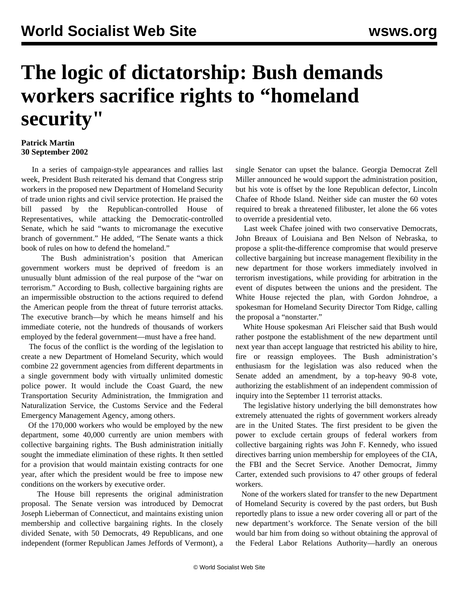## **The logic of dictatorship: Bush demands workers sacrifice rights to "homeland security"**

## **Patrick Martin 30 September 2002**

 In a series of campaign-style appearances and rallies last week, President Bush reiterated his demand that Congress strip workers in the proposed new Department of Homeland Security of trade union rights and civil service protection. He praised the bill passed by the Republican-controlled House of Representatives, while attacking the Democratic-controlled Senate, which he said "wants to micromanage the executive branch of government." He added, "The Senate wants a thick book of rules on how to defend the homeland."

 The Bush administration's position that American government workers must be deprived of freedom is an unusually blunt admission of the real purpose of the "war on terrorism." According to Bush, collective bargaining rights are an impermissible obstruction to the actions required to defend the American people from the threat of future terrorist attacks. The executive branch—by which he means himself and his immediate coterie, not the hundreds of thousands of workers employed by the federal government—must have a free hand.

 The focus of the conflict is the wording of the legislation to create a new Department of Homeland Security, which would combine 22 government agencies from different departments in a single government body with virtually unlimited domestic police power. It would include the Coast Guard, the new Transportation Security Administration, the Immigration and Naturalization Service, the Customs Service and the Federal Emergency Management Agency, among others.

 Of the 170,000 workers who would be employed by the new department, some 40,000 currently are union members with collective bargaining rights. The Bush administration initially sought the immediate elimination of these rights. It then settled for a provision that would maintain existing contracts for one year, after which the president would be free to impose new conditions on the workers by executive order.

 The House bill represents the original administration proposal. The Senate version was introduced by Democrat Joseph Lieberman of Connecticut, and maintains existing union membership and collective bargaining rights. In the closely divided Senate, with 50 Democrats, 49 Republicans, and one independent (former Republican James Jeffords of Vermont), a

single Senator can upset the balance. Georgia Democrat Zell Miller announced he would support the administration position, but his vote is offset by the lone Republican defector, Lincoln Chafee of Rhode Island. Neither side can muster the 60 votes required to break a threatened filibuster, let alone the 66 votes to override a presidential veto.

 Last week Chafee joined with two conservative Democrats, John Breaux of Louisiana and Ben Nelson of Nebraska, to propose a split-the-difference compromise that would preserve collective bargaining but increase management flexibility in the new department for those workers immediately involved in terrorism investigations, while providing for arbitration in the event of disputes between the unions and the president. The White House rejected the plan, with Gordon Johndroe, a spokesman for Homeland Security Director Tom Ridge, calling the proposal a "nonstarter."

 White House spokesman Ari Fleischer said that Bush would rather postpone the establishment of the new department until next year than accept language that restricted his ability to hire, fire or reassign employees. The Bush administration's enthusiasm for the legislation was also reduced when the Senate added an amendment, by a top-heavy 90-8 vote, authorizing the establishment of an independent commission of inquiry into the September 11 terrorist attacks.

 The legislative history underlying the bill demonstrates how extremely attenuated the rights of government workers already are in the United States. The first president to be given the power to exclude certain groups of federal workers from collective bargaining rights was John F. Kennedy, who issued directives barring union membership for employees of the CIA, the FBI and the Secret Service. Another Democrat, Jimmy Carter, extended such provisions to 47 other groups of federal workers.

 None of the workers slated for transfer to the new Department of Homeland Security is covered by the past orders, but Bush reportedly plans to issue a new order covering all or part of the new department's workforce. The Senate version of the bill would bar him from doing so without obtaining the approval of the Federal Labor Relations Authority—hardly an onerous